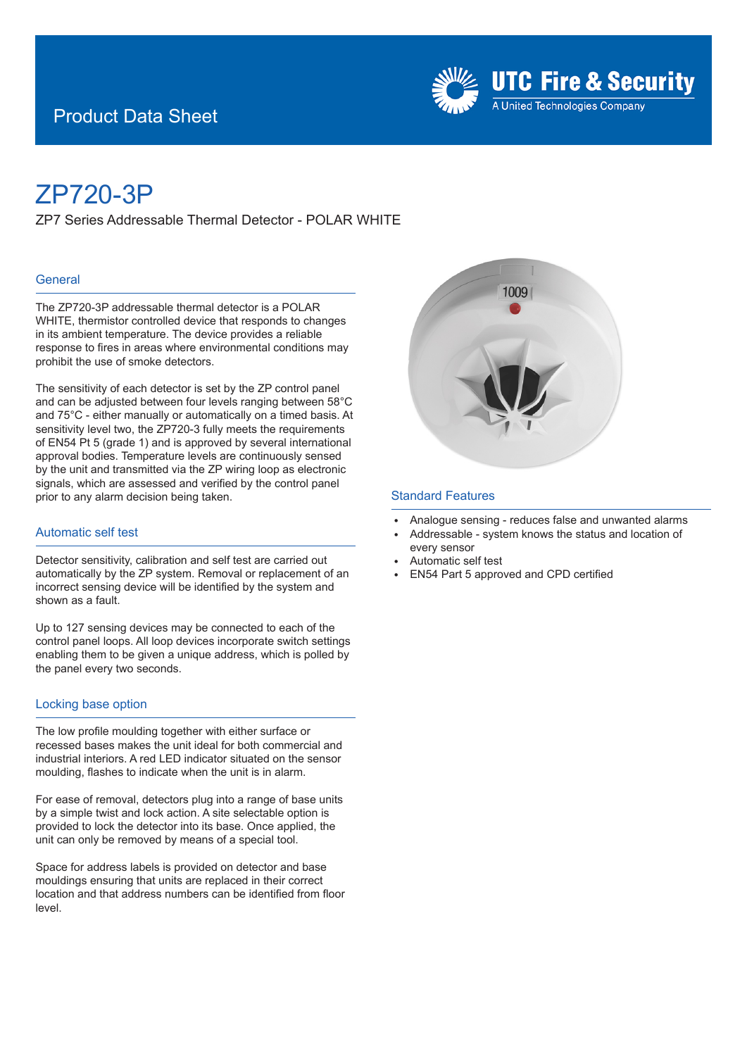## Product Data Sheet



# ZP720-3P

ZP7 Series Addressable Thermal Detector - POLAR WHITE

#### **General**

The ZP720-3P addressable thermal detector is a POLAR WHITE, thermistor controlled device that responds to changes in its ambient temperature. The device provides a reliable response to fires in areas where environmental conditions may prohibit the use of smoke detectors.

The sensitivity of each detector is set by the ZP control panel and can be adjusted between four levels ranging between 58°C and 75°C - either manually or automatically on a timed basis. At sensitivity level two, the ZP720-3 fully meets the requirements of EN54 Pt 5 (grade 1) and is approved by several international approval bodies. Temperature levels are continuously sensed by the unit and transmitted via the ZP wiring loop as electronic signals, which are assessed and verified by the control panel prior to any alarm decision being taken.

#### Automatic self test

Detector sensitivity, calibration and self test are carried out automatically by the ZP system. Removal or replacement of an incorrect sensing device will be identified by the system and shown as a fault.

Up to 127 sensing devices may be connected to each of the control panel loops. All loop devices incorporate switch settings enabling them to be given a unique address, which is polled by the panel every two seconds.

#### Locking base option

The low profile moulding together with either surface or recessed bases makes the unit ideal for both commercial and industrial interiors. A red LED indicator situated on the sensor moulding, flashes to indicate when the unit is in alarm.

For ease of removal, detectors plug into a range of base units by a simple twist and lock action. A site selectable option is provided to lock the detector into its base. Once applied, the unit can only be removed by means of a special tool.

Space for address labels is provided on detector and base mouldings ensuring that units are replaced in their correct location and that address numbers can be identified from floor level.



#### Standard Features

- Analogue sensing reduces false and unwanted alarms
- Addressable system knows the status and location of every sensor
- <sup>E</sup> Automatic self test
- <sup>E</sup> EN54 Part 5 approved and CPD certified